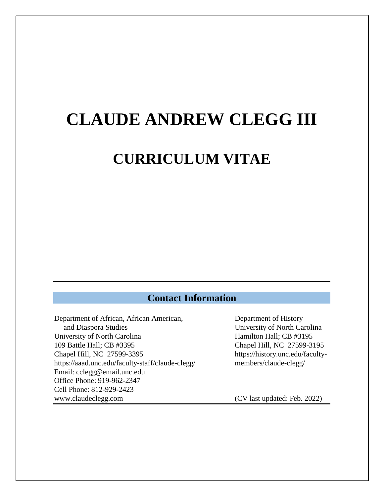# **CLAUDE ANDREW CLEGG III**

# **CURRICULUM VITAE**

### **Contact Information**

Department of African, African American, Department of History and Diaspora Studies University of North Carolina University of North Carolina Hamilton Hall; CB #3195 109 Battle Hall; CB #3395 Chapel Hill, NC 27599-3195 Chapel Hill, NC 27599-3395 https://history.unc.edu/facultyhttps://aaad.unc.edu/faculty-staff/claude-clegg/ members/claude-clegg/ Email: cclegg@email.unc.edu Office Phone: 919-962-2347 Cell Phone: 812-929-2423 www.claudeclegg.com (CV last updated: Feb. 2022)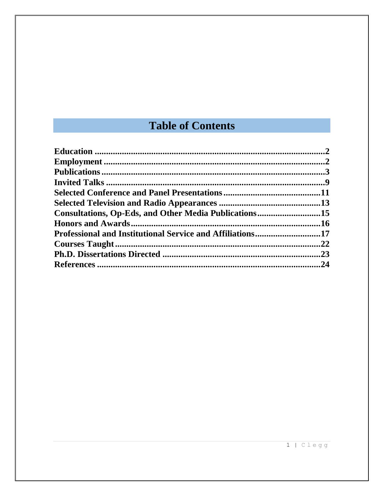## **Table of Contents**

| Consultations, Op-Eds, and Other Media Publications15 |     |
|-------------------------------------------------------|-----|
|                                                       |     |
|                                                       |     |
|                                                       |     |
|                                                       |     |
|                                                       | .24 |
|                                                       |     |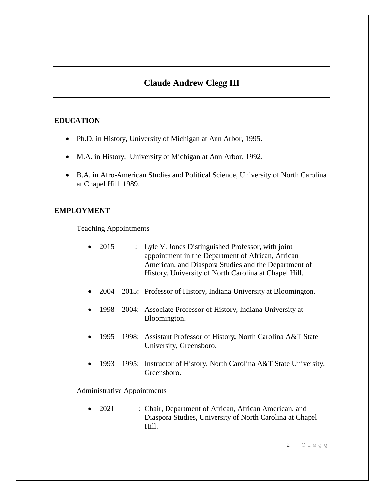### **Claude Andrew Clegg III**

#### **EDUCATION**

- Ph.D. in History, University of Michigan at Ann Arbor, 1995.
- M.A. in History, University of Michigan at Ann Arbor, 1992.
- B.A. in Afro-American Studies and Political Science, University of North Carolina at Chapel Hill, 1989.

#### **EMPLOYMENT**

Teaching Appointments

- 2015 : Lyle V. Jones Distinguished Professor, with joint appointment in the Department of African, African American, and Diaspora Studies and the Department of History, University of North Carolina at Chapel Hill.
- 2004 2015: Professor of History, Indiana University at Bloomington.
- 1998 2004: Associate Professor of History, Indiana University at Bloomington.
- 1995 1998: Assistant Professor of History*,* North Carolina A&T State University, Greensboro.
- 1993 1995: Instructor of History, North Carolina A&T State University, Greensboro.

#### Administrative Appointments

• 2021 – : Chair, Department of African, African American, and Diaspora Studies, University of North Carolina at Chapel Hill.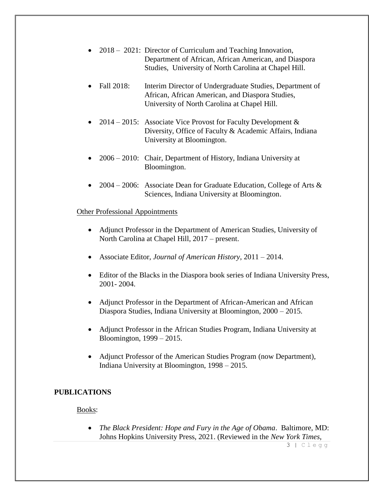- 2018 2021: Director of Curriculum and Teaching Innovation, Department of African, African American, and Diaspora Studies, University of North Carolina at Chapel Hill.
- Fall 2018: Interim Director of Undergraduate Studies, Department of African, African American, and Diaspora Studies, University of North Carolina at Chapel Hill.
- 2014 2015: Associate Vice Provost for Faculty Development  $\&$ Diversity, Office of Faculty & Academic Affairs, Indiana University at Bloomington.
- 2006 2010: Chair, Department of History, Indiana University at Bloomington.
- 2004 2006: Associate Dean for Graduate Education, College of Arts & Sciences, Indiana University at Bloomington.

#### Other Professional Appointments

- Adjunct Professor in the Department of American Studies, University of North Carolina at Chapel Hill, 2017 – present.
- Associate Editor, *Journal of American History*, 2011 2014.
- Editor of the Blacks in the Diaspora book series of Indiana University Press, 2001- 2004.
- Adjunct Professor in the Department of African-American and African Diaspora Studies, Indiana University at Bloomington, 2000 – 2015.
- Adjunct Professor in the African Studies Program, Indiana University at Bloomington, 1999 – 2015.
- Adjunct Professor of the American Studies Program (now Department), Indiana University at Bloomington, 1998 – 2015.

#### **PUBLICATIONS**

Books:

 *The Black President: Hope and Fury in the Age of Obama*. Baltimore, MD: Johns Hopkins University Press, 2021. (Reviewed in the *New York Times*,

3 | Clegg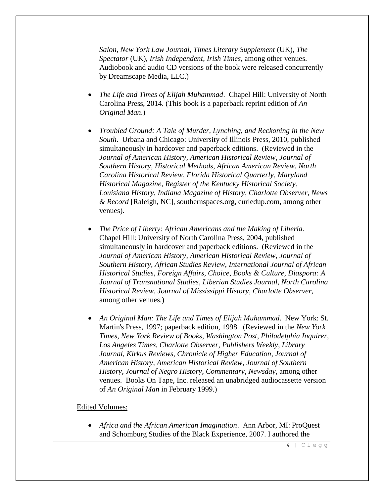*Salon*, *New York Law Journal*, *Times Literary Supplement* (UK), *The Spectator* (UK), *Irish Independent*, *Irish Times*, among other venues. Audiobook and audio CD versions of the book were released concurrently by Dreamscape Media, LLC.)

- *The Life and Times of Elijah Muhammad*. Chapel Hill: University of North Carolina Press, 2014. (This book is a paperback reprint edition of *An Original Man*.)
- *Troubled Ground: A Tale of Murder, Lynching, and Reckoning in the New South*. Urbana and Chicago: University of Illinois Press, 2010, published simultaneously in hardcover and paperback editions. (Reviewed in the *Journal of American History*, *American Historical Review*, *Journal of Southern History*, *Historical Methods*, *African American Review*, *North Carolina Historical Review*, *Florida Historical Quarterly*, *Maryland Historical Magazine*, *Register of the Kentucky Historical Society*, *Louisiana History*, *Indiana Magazine of History*, *Charlotte Observer*, *News & Record* [Raleigh, NC], southernspaces.org, curledup.com, among other venues).
- *The Price of Liberty: African Americans and the Making of Liberia*. Chapel Hill: University of North Carolina Press, 2004, published simultaneously in hardcover and paperback editions. (Reviewed in the *Journal of American History*, *American Historical Review*, *Journal of Southern History*, *African Studies Review*, *International Journal of African Historical Studies*, *Foreign Affairs*, *Choice*, *Books & Culture*, *Diaspora: A Journal of Transnational Studies*, *Liberian Studies Journal*, *North Carolina Historical Review*, *Journal of Mississippi History*, *Charlotte Observer*, among other venues.)
- *An Original Man: The Life and Times of Elijah Muhammad*. New York: St. Martin's Press, 1997; paperback edition, 1998. (Reviewed in the *New York Times*, *New York Review of Books*, *Washington Post*, *Philadelphia Inquirer*, *Los Angeles Times*, *Charlotte Observer*, *Publishers Weekly*, *Library Journal*, *Kirkus Reviews*, *Chronicle of Higher Education*, *Journal of American History*, *American Historical Review*, *Journal of Southern History*, *Journal of Negro History*, *Commentary*, *Newsday*, among other venues. Books On Tape, Inc. released an unabridged audiocassette version of *An Original Man* in February 1999.)

#### Edited Volumes:

 *Africa and the African American Imagination*. Ann Arbor, MI: ProQuest and Schomburg Studies of the Black Experience, 2007. I authored the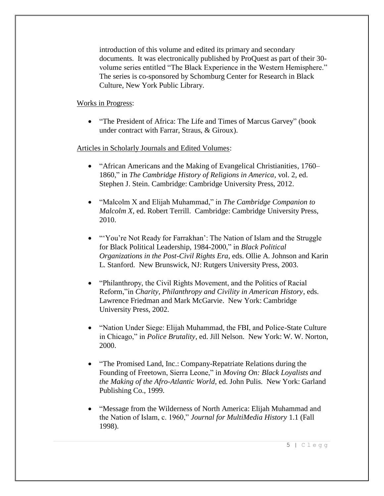introduction of this volume and edited its primary and secondary documents. It was electronically published by ProQuest as part of their 30 volume series entitled "The Black Experience in the Western Hemisphere." The series is co-sponsored by Schomburg Center for Research in Black Culture, New York Public Library.

#### Works in Progress:

• "The President of Africa: The Life and Times of Marcus Garvey" (book under contract with Farrar, Straus, & Giroux).

#### Articles in Scholarly Journals and Edited Volumes:

- "African Americans and the Making of Evangelical Christianities, 1760– 1860," in *The Cambridge History of Religions in America*, vol. 2, ed. Stephen J. Stein. Cambridge: Cambridge University Press, 2012.
- "Malcolm X and Elijah Muhammad," in *The Cambridge Companion to Malcolm X*, ed. Robert Terrill. Cambridge: Cambridge University Press, 2010.
- "'You're Not Ready for Farrakhan': The Nation of Islam and the Struggle for Black Political Leadership, 1984-2000," in *Black Political Organizations in the Post-Civil Rights Era*, eds. Ollie A. Johnson and Karin L. Stanford. New Brunswick, NJ: Rutgers University Press, 2003.
- "Philanthropy, the Civil Rights Movement, and the Politics of Racial Reform,"in *Charity, Philanthropy and Civility in American History*, eds. Lawrence Friedman and Mark McGarvie. New York: Cambridge University Press, 2002.
- "Nation Under Siege: Elijah Muhammad, the FBI, and Police-State Culture in Chicago," in *Police Brutality*, ed. Jill Nelson. New York: W. W. Norton, 2000.
- "The Promised Land, Inc.: Company-Repatriate Relations during the Founding of Freetown, Sierra Leone," in *Moving On: Black Loyalists and the Making of the Afro-Atlantic World*, ed. John Pulis. New York: Garland Publishing Co., 1999.
- "Message from the Wilderness of North America: Elijah Muhammad and the Nation of Islam, c. 1960," *Journal for MultiMedia History* 1.1 (Fall 1998).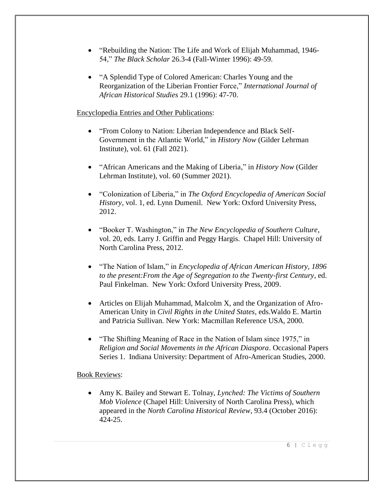- "Rebuilding the Nation: The Life and Work of Elijah Muhammad, 1946-54," *The Black Scholar* 26.3-4 (Fall-Winter 1996): 49-59.
- "A Splendid Type of Colored American: Charles Young and the Reorganization of the Liberian Frontier Force," *International Journal of African Historical Studies* 29.1 (1996): 47-70.

#### Encyclopedia Entries and Other Publications:

- "From Colony to Nation: Liberian Independence and Black Self-Government in the Atlantic World," in *History Now* (Gilder Lehrman Institute), vol. 61 (Fall 2021).
- "African Americans and the Making of Liberia," in *History Now* (Gilder Lehrman Institute), vol. 60 (Summer 2021).
- "Colonization of Liberia," in *The Oxford Encyclopedia of American Social History*, vol. 1, ed. Lynn Dumenil. New York: Oxford University Press, 2012.
- "Booker T. Washington," in *The New Encyclopedia of Southern Culture*, vol. 20, eds. Larry J. Griffin and Peggy Hargis. Chapel Hill: University of North Carolina Press, 2012.
- "The Nation of Islam," in *Encyclopedia of African American History, 1896 to the present:From the Age of Segregation to the Twenty-first Century*, ed. Paul Finkelman. New York: Oxford University Press, 2009.
- Articles on Elijah Muhammad, Malcolm X, and the Organization of Afro-American Unity in *Civil Rights in the United States*, eds.Waldo E. Martin and Patricia Sullivan. New York: Macmillan Reference USA, 2000.
- "The Shifting Meaning of Race in the Nation of Islam since 1975," in *Religion and Social Movements in the African Diaspora*. Occasional Papers Series 1. Indiana University: Department of Afro-American Studies, 2000.

#### Book Reviews:

 Amy K. Bailey and Stewart E. Tolnay, *Lynched: The Victims of Southern Mob Violence* (Chapel Hill: University of North Carolina Press), which appeared in the *North Carolina Historical Review*, 93.4 (October 2016): 424-25.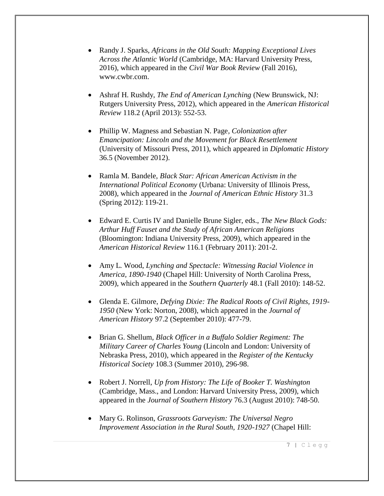- Randy J. Sparks, *Africans in the Old South: Mapping Exceptional Lives Across the Atlantic World* (Cambridge, MA: Harvard University Press, 2016), which appeared in the *Civil War Book Review* (Fall 2016), www.cwbr.com.
- Ashraf H. Rushdy, *The End of American Lynching* (New Brunswick, NJ: Rutgers University Press, 2012), which appeared in the *American Historical Review* 118.2 (April 2013): 552-53.
- Phillip W. Magness and Sebastian N. Page*, Colonization after Emancipation: Lincoln and the Movement for Black Resettlement* (University of Missouri Press, 2011), which appeared in *Diplomatic History* 36.5 (November 2012).
- Ramla M. Bandele, *Black Star: African American Activism in the International Political Economy* (Urbana: University of Illinois Press, 2008), which appeared in the *Journal of American Ethnic History* 31.3 (Spring 2012): 119-21.
- Edward E. Curtis IV and Danielle Brune Sigler, eds., *The New Black Gods: Arthur Huff Fauset and the Study of African American Religions* (Bloomington: Indiana University Press, 2009), which appeared in the *American Historical Review* 116.1 (February 2011): 201-2.
- Amy L. Wood, *Lynching and Spectacle: Witnessing Racial Violence in America, 1890-1940* (Chapel Hill: University of North Carolina Press, 2009), which appeared in the *Southern Quarterly* 48.1 (Fall 2010): 148-52.
- Glenda E. Gilmore, *Defying Dixie: The Radical Roots of Civil Rights, 1919- 1950* (New York: Norton, 2008), which appeared in the *Journal of American History* 97.2 (September 2010): 477-79.
- Brian G. Shellum, *Black Officer in a Buffalo Soldier Regiment: The Military Career of Charles Young* (Lincoln and London: University of Nebraska Press, 2010), which appeared in the *Register of the Kentucky Historical Society* 108.3 (Summer 2010), 296-98.
- Robert J. Norrell, *Up from History: The Life of Booker T. Washington* (Cambridge, Mass., and London: Harvard University Press, 2009), which appeared in the *Journal of Southern History* 76.3 (August 2010): 748-50.
- Mary G. Rolinson, *Grassroots Garveyism: The Universal Negro Improvement Association in the Rural South, 1920-1927* (Chapel Hill: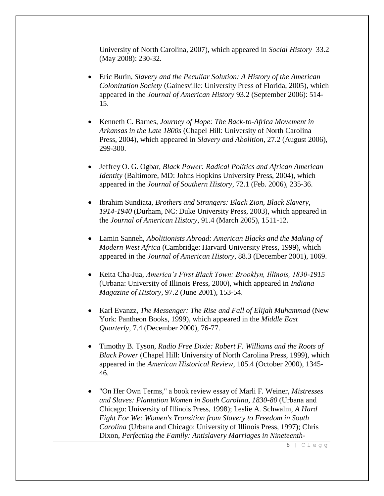University of North Carolina, 2007), which appeared in *Social History* 33.2 (May 2008): 230-32.

- Eric Burin, *Slavery and the Peculiar Solution: A History of the American Colonization Society* (Gainesville: University Press of Florida, 2005), which appeared in the *Journal of American History* 93.2 (September 2006): 514- 15.
- Kenneth C. Barnes, *Journey of Hope: The Back-to-Africa Movement in Arkansas in the Late 1800s* (Chapel Hill: University of North Carolina Press, 2004), which appeared in *Slavery and Abolition*, 27.2 (August 2006), 299-300.
- Jeffrey O. G. Ogbar*, Black Power: Radical Politics and African American Identity* (Baltimore, MD: Johns Hopkins University Press, 2004), which appeared in the *Journal of Southern History*, 72.1 (Feb. 2006), 235-36.
- Ibrahim Sundiata, *Brothers and Strangers: Black Zion, Black Slavery, 1914-1940* (Durham, NC: Duke University Press, 2003), which appeared in the *Journal of American History*, 91.4 (March 2005), 1511-12.
- Lamin Sanneh, *Abolitionists Abroad: American Blacks and the Making of Modern West Africa* (Cambridge: Harvard University Press, 1999), which appeared in the *Journal of American History*, 88.3 (December 2001), 1069.
- Keita Cha-Jua, *America's First Black Town: Brooklyn, Illinois, 1830-1915* (Urbana: University of Illinois Press, 2000), which appeared in *Indiana Magazine of History*, 97.2 (June 2001), 153-54.
- Karl Evanzz, *The Messenger: The Rise and Fall of Elijah Muhammad* (New York: Pantheon Books, 1999), which appeared in the *Middle East Quarterly*, 7.4 (December 2000), 76-77.
- Timothy B. Tyson, *Radio Free Dixie: Robert F. Williams and the Roots of Black Power* (Chapel Hill: University of North Carolina Press, 1999), which appeared in the *American Historical Review*, 105.4 (October 2000), 1345- 46.
- "On Her Own Terms," a book review essay of Marli F. Weiner, *Mistresses and Slaves: Plantation Women in South Carolina, 1830-80* (Urbana and Chicago: University of Illinois Press, 1998); Leslie A. Schwalm, *A Hard Fight For We: Women's Transition from Slavery to Freedom in South Carolina* (Urbana and Chicago: University of Illinois Press, 1997); Chris Dixon, *Perfecting the Family: Antislavery Marriages in Nineteenth-*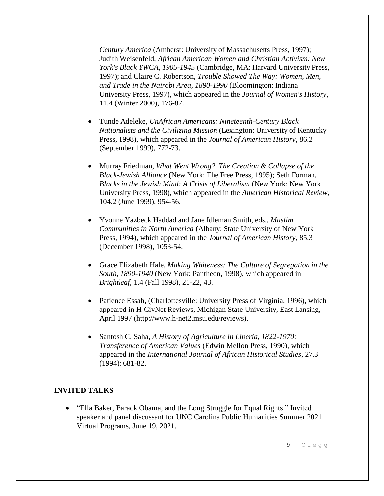*Century America* (Amherst: University of Massachusetts Press, 1997); Judith Weisenfeld, *African American Women and Christian Activism: New York's Black YWCA, 1905-1945* (Cambridge, MA: Harvard University Press, 1997); and Claire C. Robertson, *Trouble Showed The Way: Women, Men, and Trade in the Nairobi Area, 1890-1990* (Bloomington: Indiana University Press, 1997), which appeared in the *Journal of Women's History*, 11.4 (Winter 2000), 176-87.

- Tunde Adeleke, *UnAfrican Americans: Nineteenth-Century Black Nationalists and the Civilizing Mission* (Lexington: University of Kentucky Press, 1998), which appeared in the *Journal of American History*, 86.2 (September 1999), 772-73.
- Murray Friedman, *What Went Wrong? The Creation & Collapse of the Black-Jewish Alliance* (New York: The Free Press, 1995); Seth Forman, *Blacks in the Jewish Mind: A Crisis of Liberalism* (New York: New York University Press, 1998), which appeared in the *American Historical Review*, 104.2 (June 1999), 954-56.
- Yvonne Yazbeck Haddad and Jane Idleman Smith, eds., *Muslim Communities in North America* (Albany: State University of New York Press, 1994), which appeared in the *Journal of American History*, 85.3 (December 1998), 1053-54.
- Grace Elizabeth Hale, *Making Whiteness: The Culture of Segregation in the South, 1890-1940* (New York: Pantheon, 1998), which appeared in *Brightleaf*, 1.4 (Fall 1998), 21-22, 43.
- Patience Essah, (Charlottesville: University Press of Virginia, 1996), which appeared in H-CivNet Reviews, Michigan State University, East Lansing, April 1997 (http://www.h-net2.msu.edu/reviews).
- Santosh C. Saha, *A History of Agriculture in Liberia, 1822-1970: Transference of American Values* (Edwin Mellon Press, 1990), which appeared in the *International Journal of African Historical Studies*, 27.3 (1994): 681-82.

#### **INVITED TALKS**

 "Ella Baker, Barack Obama, and the Long Struggle for Equal Rights." Invited speaker and panel discussant for UNC Carolina Public Humanities Summer 2021 Virtual Programs, June 19, 2021.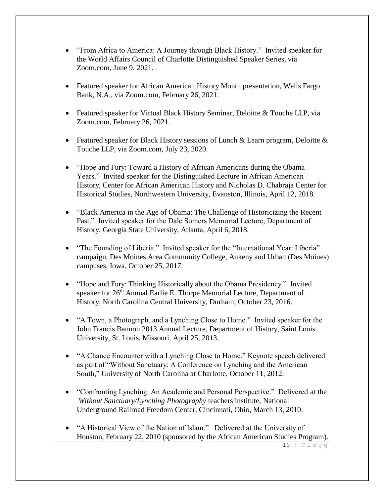- "From Africa to America: A Journey through Black History." Invited speaker for the World Affairs Council of Charlotte Distinguished Speaker Series, via Zoom.com, June 9, 2021.
- Featured speaker for African American History Month presentation, Wells Fargo Bank, N.A., via Zoom.com, February 26, 2021.
- Featured speaker for Virtual Black History Seminar, Deloitte & Touche LLP, via Zoom.com, February 26, 2021.
- Featured speaker for Black History sessions of Lunch & Learn program, Deloitte & Touche LLP, via Zoom.com, July 23, 2020.
- "Hope and Fury: Toward a History of African Americans during the Obama Years." Invited speaker for the Distinguished Lecture in African American History, Center for African American History and Nicholas D. Chabraja Center for Historical Studies, Northwestern University, Evanston, Illinois, April 12, 2018.
- "Black America in the Age of Obama: The Challenge of Historicizing the Recent Past." Invited speaker for the Dale Somers Memorial Lecture, Department of History, Georgia State University, Atlanta, April 6, 2018.
- "The Founding of Liberia." Invited speaker for the "International Year: Liberia" campaign, Des Moines Area Community College, Ankeny and Urban (Des Moines) campuses, Iowa, October 25, 2017.
- "Hope and Fury: Thinking Historically about the Obama Presidency." Invited speaker for 26<sup>th</sup> Annual Earlie E. Thorpe Memorial Lecture, Department of History, North Carolina Central University, Durham, October 23, 2016.
- "A Town, a Photograph, and a Lynching Close to Home." Invited speaker for the John Francis Bannon 2013 Annual Lecture, Department of History, Saint Louis University, St. Louis, Missouri, April 25, 2013.
- "A Chance Encounter with a Lynching Close to Home." Keynote speech delivered as part of "Without Sanctuary: A Conference on Lynching and the American South," University of North Carolina at Charlotte, October 11, 2012.
- "Confronting Lynching: An Academic and Personal Perspective." Delivered at the *Without Sanctuary/Lynching Photography* teachers institute, National Underground Railroad Freedom Center, Cincinnati, Ohio, March 13, 2010.
- "A Historical View of the Nation of Islam." Delivered at the University of Houston, February 22, 2010 (sponsored by the African American Studies Program).

10 | Clegg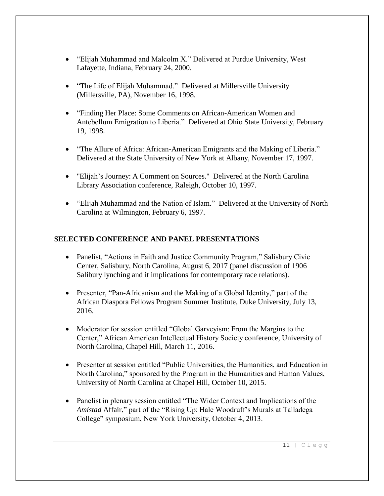- "Elijah Muhammad and Malcolm X." Delivered at Purdue University, West Lafayette, Indiana, February 24, 2000.
- "The Life of Elijah Muhammad." Delivered at Millersville University (Millersville, PA), November 16, 1998.
- "Finding Her Place: Some Comments on African-American Women and Antebellum Emigration to Liberia." Delivered at Ohio State University, February 19, 1998.
- "The Allure of Africa: African-American Emigrants and the Making of Liberia." Delivered at the State University of New York at Albany, November 17, 1997.
- "Elijah's Journey: A Comment on Sources." Delivered at the North Carolina Library Association conference, Raleigh, October 10, 1997.
- "Elijah Muhammad and the Nation of Islam." Delivered at the University of North Carolina at Wilmington, February 6, 1997.

#### **SELECTED CONFERENCE AND PANEL PRESENTATIONS**

- Panelist, "Actions in Faith and Justice Community Program," Salisbury Civic Center, Salisbury, North Carolina, August 6, 2017 (panel discussion of 1906 Salibury lynching and it implications for contemporary race relations).
- Presenter, "Pan-Africanism and the Making of a Global Identity," part of the African Diaspora Fellows Program Summer Institute, Duke University, July 13, 2016.
- Moderator for session entitled "Global Garveyism: From the Margins to the Center," African American Intellectual History Society conference, University of North Carolina, Chapel Hill, March 11, 2016.
- Presenter at session entitled "Public Universities, the Humanities, and Education in North Carolina," sponsored by the Program in the Humanities and Human Values, University of North Carolina at Chapel Hill, October 10, 2015.
- Panelist in plenary session entitled "The Wider Context and Implications of the *Amistad* Affair," part of the "Rising Up: Hale Woodruff's Murals at Talladega College" symposium, New York University, October 4, 2013.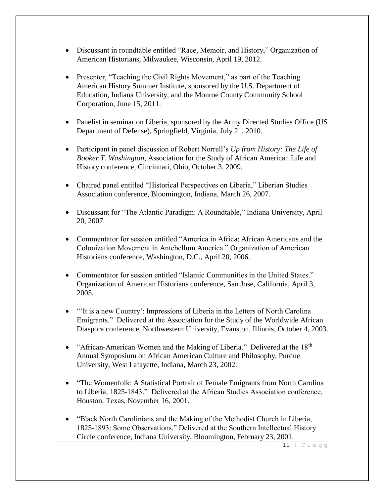- Discussant in roundtable entitled "Race, Memoir, and History," Organization of American Historians, Milwaukee, Wisconsin, April 19, 2012.
- Presenter, "Teaching the Civil Rights Movement," as part of the Teaching American History Summer Institute, sponsored by the U.S. Department of Education, Indiana University, and the Monroe County Community School Corporation, June 15, 2011.
- Panelist in seminar on Liberia, sponsored by the Army Directed Studies Office (US Department of Defense), Springfield, Virginia, July 21, 2010.
- Participant in panel discussion of Robert Norrell's *Up from History: The Life of Booker T. Washington*, Association for the Study of African American Life and History conference, Cincinnati, Ohio, October 3, 2009.
- Chaired panel entitled "Historical Perspectives on Liberia," Liberian Studies Association conference, Bloomington, Indiana, March 26, 2007.
- Discussant for "The Atlantic Paradigm: A Roundtable," Indiana University, April 20, 2007.
- Commentator for session entitled "America in Africa: African Americans and the Colonization Movement in Antebellum America." Organization of American Historians conference, Washington, D.C., April 20, 2006.
- Commentator for session entitled "Islamic Communities in the United States." Organization of American Historians conference, San Jose, California, April 3, 2005.
- "'It is a new Country': Impressions of Liberia in the Letters of North Carolina Emigrants." Delivered at the Association for the Study of the Worldwide African Diaspora conference, Northwestern University, Evanston, Illinois, October 4, 2003.
- "African-American Women and the Making of Liberia." Delivered at the  $18<sup>th</sup>$ Annual Symposium on African American Culture and Philosophy, Purdue University, West Lafayette, Indiana, March 23, 2002.
- "The Womenfolk: A Statistical Portrait of Female Emigrants from North Carolina to Liberia, 1825-1843." Delivered at the African Studies Association conference, Houston, Texas, November 16, 2001.
- "Black North Carolinians and the Making of the Methodist Church in Liberia, 1825-1893: Some Observations." Delivered at the Southern Intellectual History Circle conference, Indiana University, Bloomington, February 23, 2001.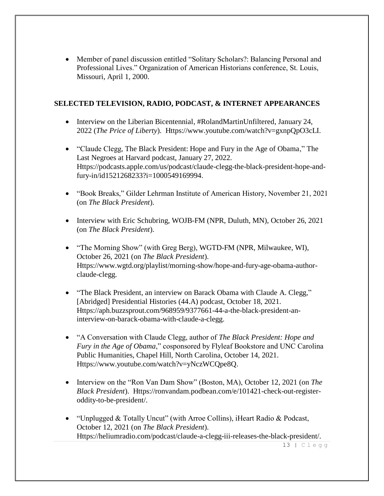Member of panel discussion entitled "Solitary Scholars?: Balancing Personal and Professional Lives." Organization of American Historians conference, St. Louis, Missouri, April 1, 2000.

#### **SELECTED TELEVISION, RADIO, PODCAST, & INTERNET APPEARANCES**

- Interview on the Liberian Bicentennial, #RolandMartinUnfiltered, January 24, 2022 (*The Price of Liberty*). Https://www.youtube.com/watch?v=gxnpQpO3cLI.
- "Claude Clegg, The Black President: Hope and Fury in the Age of Obama," The Last Negroes at Harvard podcast, January 27, 2022. Https://podcasts.apple.com/us/podcast/claude-clegg-the-black-president-hope-andfury-in/id1521268233?i=1000549169994.
- "Book Breaks," Gilder Lehrman Institute of American History, November 21, 2021 (on *The Black President*).
- Interview with Eric Schubring, WOJB-FM (NPR, Duluth, MN), October 26, 2021 (on *The Black President*).
- "The Morning Show" (with Greg Berg), WGTD-FM (NPR, Milwaukee, WI), October 26, 2021 (on *The Black President*). Https://www.wgtd.org/playlist/morning-show/hope-and-fury-age-obama-authorclaude-clegg.
- "The Black President, an interview on Barack Obama with Claude A. Clegg," [Abridged] Presidential Histories (44.A) podcast, October 18, 2021. Https://aph.buzzsprout.com/968959/9377661-44-a-the-black-president-aninterview-on-barack-obama-with-claude-a-clegg.
- "A Conversation with Claude Clegg, author of *The Black President: Hope and Fury in the Age of Obama*," cosponsored by Flyleaf Bookstore and UNC Carolina Public Humanities, Chapel Hill, North Carolina, October 14, 2021. Https://www.youtube.com/watch?v=yNczWCQpe8Q.
- Interview on the "Ron Van Dam Show" (Boston, MA), October 12, 2021 (on *The Black President*). Https://ronvandam.podbean.com/e/101421-check-out-registeroddity-to-be-president/.
- "Unplugged & Totally Uncut" (with Arroe Collins), iHeart Radio & Podcast, October 12, 2021 (on *The Black President*). Https://heliumradio.com/podcast/claude-a-clegg-iii-releases-the-black-president/.

13 | Clegg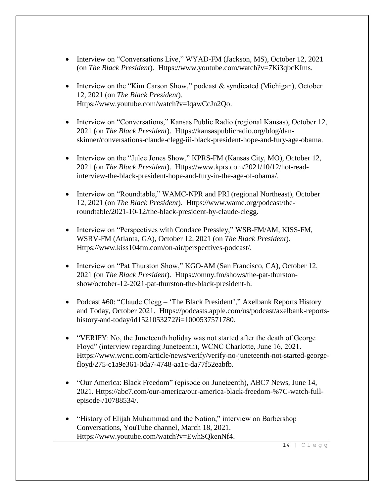- Interview on "Conversations Live," WYAD-FM (Jackson, MS), October 12, 2021 (on *The Black President*). Https://www.youtube.com/watch?v=7Ki3qbcKIms.
- Interview on the "Kim Carson Show," podcast & syndicated (Michigan), October 12, 2021 (on *The Black President*). Https://www.youtube.com/watch?v=IqawCcJn2Qo.
- Interview on "Conversations," Kansas Public Radio (regional Kansas), October 12, 2021 (on *The Black President*). Https://kansaspublicradio.org/blog/danskinner/conversations-claude-clegg-iii-black-president-hope-and-fury-age-obama.
- Interview on the "Julee Jones Show," KPRS-FM (Kansas City, MO), October 12, 2021 (on *The Black President*). Https://www.kprs.com/2021/10/12/hot-readinterview-the-black-president-hope-and-fury-in-the-age-of-obama/.
- Interview on "Roundtable," WAMC-NPR and PRI (regional Northeast), October 12, 2021 (on *The Black President*). Https://www.wamc.org/podcast/theroundtable/2021-10-12/the-black-president-by-claude-clegg.
- Interview on "Perspectives with Condace Pressley," WSB-FM/AM, KISS-FM, WSRV-FM (Atlanta, GA), October 12, 2021 (on *The Black President*). Https://www.kiss104fm.com/on-air/perspectives-podcast/.
- Interview on "Pat Thurston Show," KGO-AM (San Francisco, CA), October 12, 2021 (on *The Black President*). Https://omny.fm/shows/the-pat-thurstonshow/october-12-2021-pat-thurston-the-black-president-h.
- Podcast #60: "Claude Clegg 'The Black President'," Axelbank Reports History and Today, October 2021. Https://podcasts.apple.com/us/podcast/axelbank-reportshistory-and-today/id1521053272?i=1000537571780.
- "VERIFY: No, the Juneteenth holiday was not started after the death of George Floyd" (interview regarding Juneteenth), WCNC Charlotte, June 16, 2021. Https://www.wcnc.com/article/news/verify/verify-no-juneteenth-not-started-georgefloyd/275-c1a9e361-0da7-4748-aa1c-da77f52eabfb.
- "Our America: Black Freedom" (episode on Juneteenth), ABC7 News, June 14, 2021. Https://abc7.com/our-america/our-america-black-freedom-%7C-watch-fullepisode-/10788534/.
- "History of Elijah Muhammad and the Nation," interview on Barbershop Conversations, YouTube channel, March 18, 2021. Https://www.youtube.com/watch?v=EwhSQkenNf4.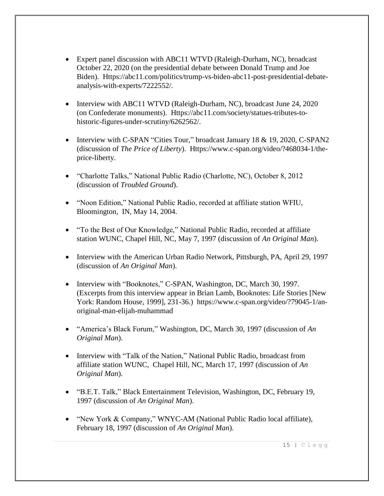- Expert panel discussion with ABC11 WTVD (Raleigh-Durham, NC), broadcast October 22, 2020 (on the presidential debate between Donald Trump and Joe Biden). Https://abc11.com/politics/trump-vs-biden-abc11-post-presidential-debateanalysis-with-experts/7222552/.
- Interview with ABC11 WTVD (Raleigh-Durham, NC), broadcast June 24, 2020 (on Confederate monuments). Https://abc11.com/society/statues-tributes-tohistoric-figures-under-scrutiny/6262562/.
- Interview with C-SPAN "Cities Tour," broadcast January 18 & 19, 2020, C-SPAN2 (discussion of *The Price of Liberty*). Https://www.c-span.org/video/?468034-1/theprice-liberty.
- "Charlotte Talks," National Public Radio (Charlotte, NC), October 8, 2012 (discussion of *Troubled Ground*).
- "Noon Edition," National Public Radio, recorded at affiliate station WFIU, Bloomington, IN, May 14, 2004.
- "To the Best of Our Knowledge," National Public Radio, recorded at affiliate station WUNC, Chapel Hill, NC, May 7, 1997 (discussion of *An Original Man*).
- Interview with the American Urban Radio Network, Pittsburgh, PA, April 29, 1997 (discussion of *An Original Man*).
- Interview with "Booknotes," C-SPAN, Washington, DC, March 30, 1997. (Excerpts from this interview appear in Brian Lamb, Booknotes: Life Stories [New York: Random House, 1999], 231-36.) https://www.c-span.org/video/?79045-1/anoriginal-man-elijah-muhammad
- "America's Black Forum," Washington, DC, March 30, 1997 (discussion of *An Original Man*).
- Interview with "Talk of the Nation," National Public Radio, broadcast from affiliate station WUNC, Chapel Hill, NC, March 17, 1997 (discussion of *An Original Man*).
- "B.E.T. Talk," Black Entertainment Television, Washington, DC, February 19, 1997 (discussion of *An Original Man*).
- "New York & Company," WNYC-AM (National Public Radio local affiliate), February 18, 1997 (discussion of *An Original Man*).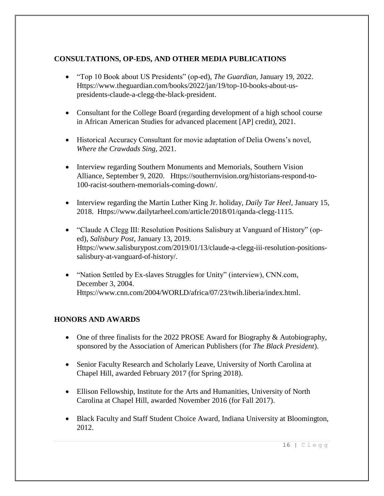#### **CONSULTATIONS, OP-EDS, AND OTHER MEDIA PUBLICATIONS**

- "Top 10 Book about US Presidents" (op-ed), *The Guardian*, January 19, 2022. Https://www.theguardian.com/books/2022/jan/19/top-10-books-about-uspresidents-claude-a-clegg-the-black-president.
- Consultant for the College Board (regarding development of a high school course in African American Studies for advanced placement [AP] credit), 2021.
- Historical Accuracy Consultant for movie adaptation of Delia Owens's novel, *Where the Crawdads Sing*, 2021.
- Interview regarding Southern Monuments and Memorials, Southern Vision Alliance, September 9, 2020. Https://southernvision.org/historians-respond-to-100-racist-southern-memorials-coming-down/.
- Interview regarding the Martin Luther King Jr. holiday, *Daily Tar Heel*, January 15, 2018. Https://www.dailytarheel.com/article/2018/01/qanda-clegg-1115.
- "Claude A Clegg III: Resolution Positions Salisbury at Vanguard of History" (oped), *Salisbury Post*, January 13, 2019. Https://www.salisburypost.com/2019/01/13/claude-a-clegg-iii-resolution-positionssalisbury-at-vanguard-of-history/.
- "Nation Settled by Ex-slaves Struggles for Unity" (interview), CNN.com, December 3, 2004. Https://www.cnn.com/2004/WORLD/africa/07/23/twih.liberia/index.html.

#### **HONORS AND AWARDS**

- One of three finalists for the 2022 PROSE Award for Biography & Autobiography, sponsored by the Association of American Publishers (for *The Black President*).
- Senior Faculty Research and Scholarly Leave, University of North Carolina at Chapel Hill, awarded February 2017 (for Spring 2018).
- Ellison Fellowship, Institute for the Arts and Humanities, University of North Carolina at Chapel Hill, awarded November 2016 (for Fall 2017).
- Black Faculty and Staff Student Choice Award, Indiana University at Bloomington, 2012.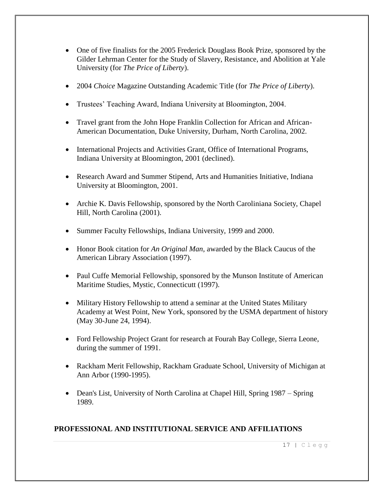- One of five finalists for the 2005 Frederick Douglass Book Prize, sponsored by the Gilder Lehrman Center for the Study of Slavery, Resistance, and Abolition at Yale University (for *The Price of Liberty*).
- 2004 *Choice* Magazine Outstanding Academic Title (for *The Price of Liberty*).
- Trustees' Teaching Award, Indiana University at Bloomington, 2004.
- Travel grant from the John Hope Franklin Collection for African and African-American Documentation, Duke University, Durham, North Carolina, 2002.
- International Projects and Activities Grant, Office of International Programs, Indiana University at Bloomington, 2001 (declined).
- Research Award and Summer Stipend, Arts and Humanities Initiative, Indiana University at Bloomington, 2001.
- Archie K. Davis Fellowship, sponsored by the North Caroliniana Society, Chapel Hill, North Carolina (2001).
- Summer Faculty Fellowships, Indiana University, 1999 and 2000.
- Honor Book citation for *An Original Man*, awarded by the Black Caucus of the American Library Association (1997).
- Paul Cuffe Memorial Fellowship, sponsored by the Munson Institute of American Maritime Studies, Mystic, Connecticutt (1997).
- Military History Fellowship to attend a seminar at the United States Military Academy at West Point, New York, sponsored by the USMA department of history (May 30-June 24, 1994).
- Ford Fellowship Project Grant for research at Fourah Bay College, Sierra Leone, during the summer of 1991.
- Rackham Merit Fellowship, Rackham Graduate School, University of Michigan at Ann Arbor (1990-1995).
- Dean's List, University of North Carolina at Chapel Hill, Spring 1987 Spring 1989.

#### **PROFESSIONAL AND INSTITUTIONAL SERVICE AND AFFILIATIONS**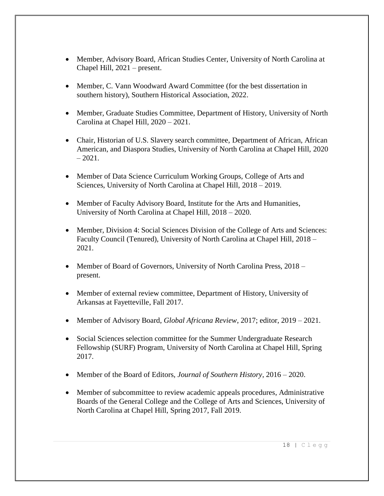- Member, Advisory Board, African Studies Center, University of North Carolina at Chapel Hill, 2021 – present.
- Member, C. Vann Woodward Award Committee (for the best dissertation in southern history), Southern Historical Association, 2022.
- Member, Graduate Studies Committee, Department of History, University of North Carolina at Chapel Hill, 2020 – 2021.
- Chair, Historian of U.S. Slavery search committee, Department of African, African American, and Diaspora Studies, University of North Carolina at Chapel Hill, 2020  $-2021.$
- Member of Data Science Curriculum Working Groups, College of Arts and Sciences, University of North Carolina at Chapel Hill, 2018 – 2019.
- Member of Faculty Advisory Board, Institute for the Arts and Humanities, University of North Carolina at Chapel Hill, 2018 – 2020.
- Member, Division 4: Social Sciences Division of the College of Arts and Sciences: Faculty Council (Tenured), University of North Carolina at Chapel Hill, 2018 – 2021.
- Member of Board of Governors, University of North Carolina Press, 2018 present.
- Member of external review committee, Department of History, University of Arkansas at Fayetteville, Fall 2017.
- Member of Advisory Board, *Global Africana Review*, 2017; editor, 2019 2021.
- Social Sciences selection committee for the Summer Undergraduate Research Fellowship (SURF) Program, University of North Carolina at Chapel Hill, Spring 2017.
- Member of the Board of Editors, *Journal of Southern History*, 2016 2020.
- Member of subcommittee to review academic appeals procedures, Administrative Boards of the General College and the College of Arts and Sciences, University of North Carolina at Chapel Hill, Spring 2017, Fall 2019.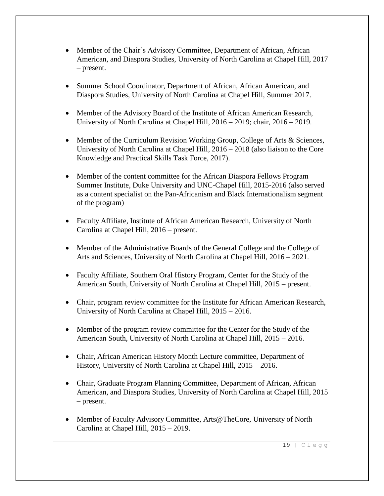- Member of the Chair's Advisory Committee, Department of African, African American, and Diaspora Studies, University of North Carolina at Chapel Hill, 2017 – present.
- Summer School Coordinator, Department of African, African American, and Diaspora Studies, University of North Carolina at Chapel Hill, Summer 2017.
- Member of the Advisory Board of the Institute of African American Research, University of North Carolina at Chapel Hill, 2016 – 2019; chair, 2016 – 2019.
- Member of the Curriculum Revision Working Group, College of Arts & Sciences, University of North Carolina at Chapel Hill, 2016 – 2018 (also liaison to the Core Knowledge and Practical Skills Task Force, 2017).
- Member of the content committee for the African Diaspora Fellows Program Summer Institute, Duke University and UNC-Chapel Hill, 2015-2016 (also served as a content specialist on the Pan-Africanism and Black Internationalism segment of the program)
- Faculty Affiliate, Institute of African American Research, University of North Carolina at Chapel Hill, 2016 – present.
- Member of the Administrative Boards of the General College and the College of Arts and Sciences, University of North Carolina at Chapel Hill, 2016 – 2021.
- Faculty Affiliate, Southern Oral History Program, Center for the Study of the American South, University of North Carolina at Chapel Hill, 2015 – present.
- Chair, program review committee for the Institute for African American Research, University of North Carolina at Chapel Hill, 2015 – 2016.
- Member of the program review committee for the Center for the Study of the American South, University of North Carolina at Chapel Hill, 2015 – 2016.
- Chair, African American History Month Lecture committee, Department of History, University of North Carolina at Chapel Hill, 2015 – 2016.
- Chair, Graduate Program Planning Committee, Department of African, African American, and Diaspora Studies, University of North Carolina at Chapel Hill, 2015 – present.
- Member of Faculty Advisory Committee, Arts@TheCore, University of North Carolina at Chapel Hill, 2015 – 2019.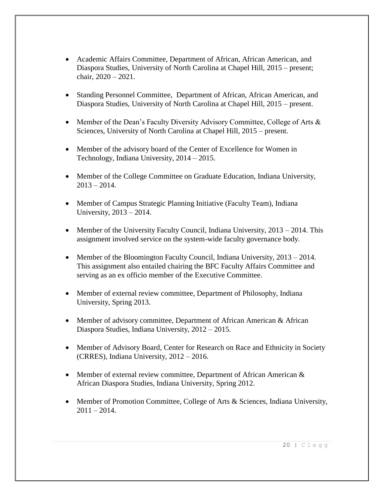- Academic Affairs Committee, Department of African, African American, and Diaspora Studies, University of North Carolina at Chapel Hill, 2015 – present; chair, 2020 – 2021.
- Standing Personnel Committee, Department of African, African American, and Diaspora Studies, University of North Carolina at Chapel Hill, 2015 – present.
- Member of the Dean's Faculty Diversity Advisory Committee, College of Arts & Sciences, University of North Carolina at Chapel Hill, 2015 – present.
- Member of the advisory board of the Center of Excellence for Women in Technology, Indiana University, 2014 – 2015.
- Member of the College Committee on Graduate Education, Indiana University,  $2013 - 2014.$
- Member of Campus Strategic Planning Initiative (Faculty Team), Indiana University, 2013 – 2014.
- Member of the University Faculty Council, Indiana University,  $2013 2014$ . This assignment involved service on the system-wide faculty governance body.
- Member of the Bloomington Faculty Council, Indiana University, 2013 2014. This assignment also entailed chairing the BFC Faculty Affairs Committee and serving as an ex officio member of the Executive Committee.
- Member of external review committee, Department of Philosophy, Indiana University, Spring 2013.
- Member of advisory committee, Department of African American & African Diaspora Studies, Indiana University, 2012 – 2015.
- Member of Advisory Board, Center for Research on Race and Ethnicity in Society (CRRES), Indiana University, 2012 – 2016.
- Member of external review committee, Department of African American & African Diaspora Studies, Indiana University, Spring 2012.
- Member of Promotion Committee, College of Arts & Sciences, Indiana University,  $2011 - 2014.$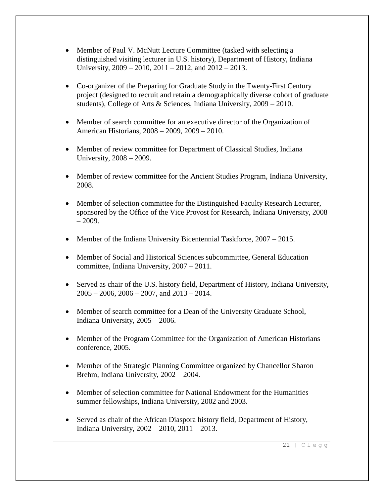- Member of Paul V. McNutt Lecture Committee (tasked with selecting a distinguished visiting lecturer in U.S. history), Department of History, Indiana University,  $2009 - 2010$ ,  $2011 - 2012$ , and  $2012 - 2013$ .
- Co-organizer of the Preparing for Graduate Study in the Twenty-First Century project (designed to recruit and retain a demographically diverse cohort of graduate students), College of Arts & Sciences, Indiana University, 2009 – 2010.
- Member of search committee for an executive director of the Organization of American Historians, 2008 – 2009, 2009 – 2010.
- Member of review committee for Department of Classical Studies, Indiana University, 2008 – 2009.
- Member of review committee for the Ancient Studies Program, Indiana University, 2008.
- Member of selection committee for the Distinguished Faculty Research Lecturer, sponsored by the Office of the Vice Provost for Research, Indiana University, 2008  $-2009.$
- Member of the Indiana University Bicentennial Taskforce,  $2007 2015$ .
- Member of Social and Historical Sciences subcommittee, General Education committee, Indiana University, 2007 – 2011.
- Served as chair of the U.S. history field, Department of History, Indiana University,  $2005 - 2006$ ,  $2006 - 2007$ , and  $2013 - 2014$ .
- Member of search committee for a Dean of the University Graduate School, Indiana University, 2005 – 2006.
- Member of the Program Committee for the Organization of American Historians conference, 2005.
- Member of the Strategic Planning Committee organized by Chancellor Sharon Brehm, Indiana University, 2002 – 2004.
- Member of selection committee for National Endowment for the Humanities summer fellowships, Indiana University, 2002 and 2003.
- Served as chair of the African Diaspora history field, Department of History, Indiana University, 2002 – 2010, 2011 – 2013.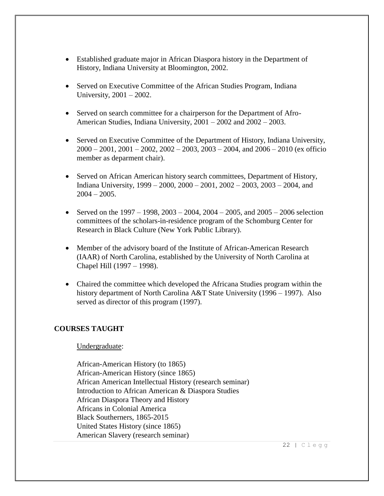- Established graduate major in African Diaspora history in the Department of History, Indiana University at Bloomington, 2002.
- Served on Executive Committee of the African Studies Program, Indiana University, 2001 – 2002.
- Served on search committee for a chairperson for the Department of Afro-American Studies, Indiana University, 2001 – 2002 and 2002 – 2003.
- Served on Executive Committee of the Department of History, Indiana University,  $2000 - 2001$ ,  $2001 - 2002$ ,  $2002 - 2003$ ,  $2003 - 2004$ , and  $2006 - 2010$  (ex officio member as deparment chair).
- Served on African American history search committees, Department of History, Indiana University, 1999 – 2000, 2000 – 2001, 2002 – 2003, 2003 – 2004, and  $2004 - 2005$ .
- Served on the  $1997 1998$ ,  $2003 2004$ ,  $2004 2005$ , and  $2005 2006$  selection committees of the scholars-in-residence program of the Schomburg Center for Research in Black Culture (New York Public Library).
- Member of the advisory board of the Institute of African-American Research (IAAR) of North Carolina, established by the University of North Carolina at Chapel Hill (1997 – 1998).
- Chaired the committee which developed the Africana Studies program within the history department of North Carolina A&T State University (1996 – 1997). Also served as director of this program (1997).

#### **COURSES TAUGHT**

#### Undergraduate:

African-American History (to 1865) African-American History (since 1865) African American Intellectual History (research seminar) Introduction to African American & Diaspora Studies African Diaspora Theory and History Africans in Colonial America Black Southerners, 1865-2015 United States History (since 1865) American Slavery (research seminar)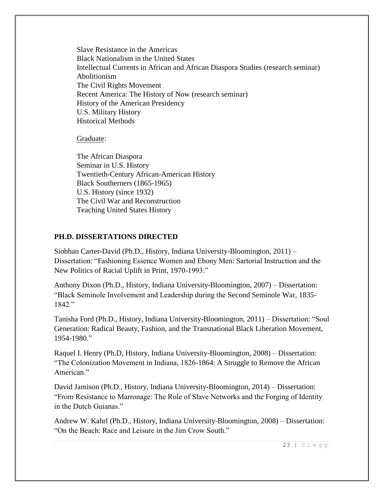Slave Resistance in the Americas Black Nationalism in the United States Intellectual Currents in African and African Diaspora Studies (research seminar) Abolitionism The Civil Rights Movement Recent America: The History of Now (research seminar) History of the American Presidency U.S. Military History Historical Methods

Graduate:

The African Diaspora Seminar in U.S. History Twentieth-Century African-American History Black Southerners (1865-1965) U.S. History (since 1932) The Civil War and Reconstruction Teaching United States History

#### **PH.D. DISSERTATIONS DIRECTED**

Siobhan Carter-David (Ph.D., History, Indiana University-Bloomington, 2011) – Dissertation: "Fashioning Essence Women and Ebony Men: Sartorial Instruction and the New Politics of Racial Uplift in Print, 1970-1993."

Anthony Dixon (Ph.D., History, Indiana University-Bloomington, 2007) – Dissertation: "Black Seminole Involvement and Leadership during the Second Seminole War, 1835- 1842."

Tanisha Ford (Ph.D., History, Indiana University-Bloomington, 2011) – Dissertation: "Soul Generation: Radical Beauty, Fashion, and the Transnational Black Liberation Movement, 1954-1980."

Raquel I. Henry (Ph.D, History, Indiana University-Bloomington, 2008) – Dissertation: "The Colonization Movement in Indiana, 1826-1864: A Struggle to Remove the African American."

David Jamison (Ph.D., History, Indiana University-Bloomington, 2014) – Dissertation: "From Resistance to Marronage: The Role of Slave Networks and the Forging of Identity in the Dutch Guianas."

Andrew W. Kahrl (Ph.D., History, Indiana University-Bloomington, 2008) – Dissertation: "On the Beach: Race and Leisure in the Jim Crow South."